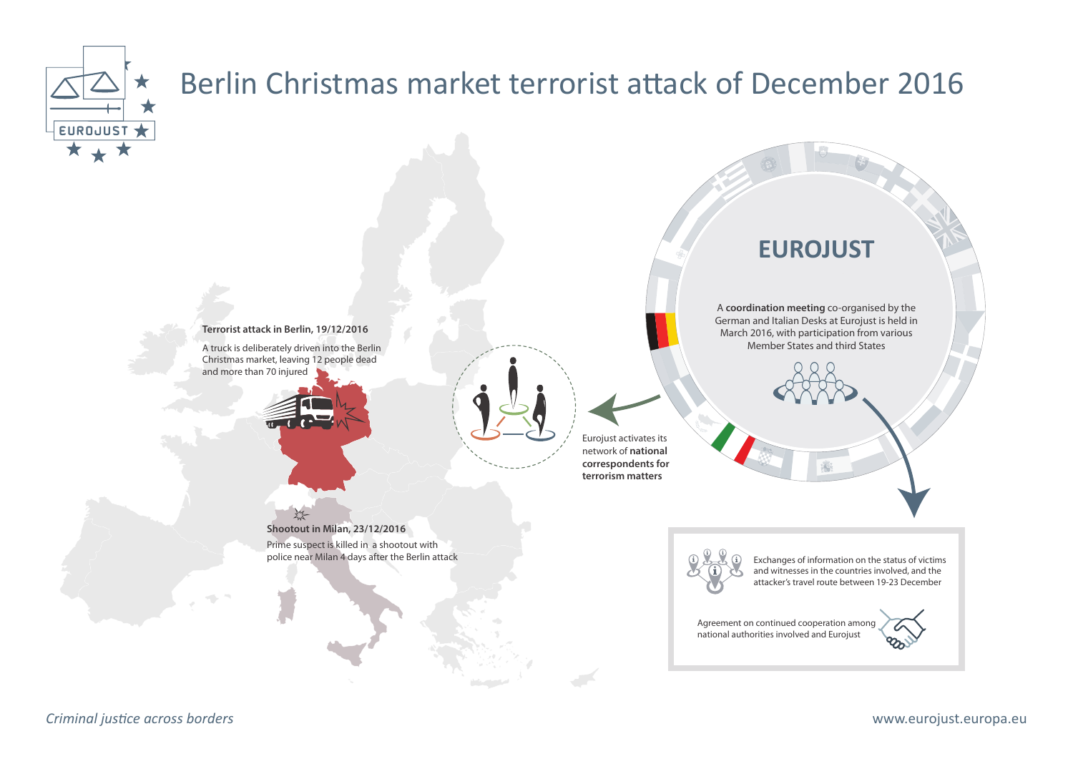

## Berlin Christmas market terrorist attack of December 2016

**Terrorist attack in Berlin, 19/12/2016** A truck is deliberately driven into the Berlin Christmas market, leaving 12 people dead and more than 70 injured



 $\frac{1}{2}$ 

Eurojust activates its network of **national correspondents for terrorism matters** 

## **Shootout in Milan, 23/12/2016**

Prime suspect is killed in a shootout with police near Milan 4 days after the Berlin attack

Exchanges of information on the status of victims and witnesses in the countries involved, and the attacker's travel route between 19-23 December

A **coordination meeting** co-organised by the German and Italian Desks at Eurojust is held in March 2016, with participation from various Member States and third States

**EUROJUST**

Agreement on continued cooperation among national authorities involved and Eurojust



*Criminal justice across borders* www.eurojust.europa.eu